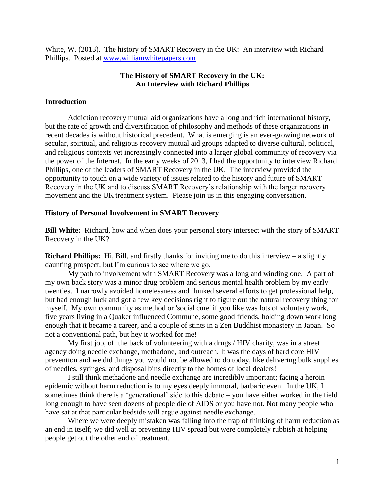White, W. (2013). The history of SMART Recovery in the UK: An interview with Richard Phillips. Posted at [www.williamwhitepapers.com](http://www.williamwhitepapers.com/)

#### **The History of SMART Recovery in the UK: An Interview with Richard Phillips**

#### **Introduction**

Addiction recovery mutual aid organizations have a long and rich international history, but the rate of growth and diversification of philosophy and methods of these organizations in recent decades is without historical precedent. What is emerging is an ever-growing network of secular, spiritual, and religious recovery mutual aid groups adapted to diverse cultural, political, and religious contexts yet increasingly connected into a larger global community of recovery via the power of the Internet. In the early weeks of 2013, I had the opportunity to interview Richard Phillips, one of the leaders of SMART Recovery in the UK. The interview provided the opportunity to touch on a wide variety of issues related to the history and future of SMART Recovery in the UK and to discuss SMART Recovery's relationship with the larger recovery movement and the UK treatment system. Please join us in this engaging conversation.

#### **History of Personal Involvement in SMART Recovery**

**Bill White:** Richard, how and when does your personal story intersect with the story of SMART Recovery in the UK?

**Richard Phillips:** Hi, Bill, and firstly thanks for inviting me to do this interview – a slightly daunting prospect, but I'm curious to see where we go.

My path to involvement with SMART Recovery was a long and winding one. A part of my own back story was a minor drug problem and serious mental health problem by my early twenties. I narrowly avoided homelessness and flunked several efforts to get professional help, but had enough luck and got a few key decisions right to figure out the natural recovery thing for myself. My own community as method or 'social cure' if you like was lots of voluntary work, five years living in a Quaker influenced Commune, some good friends, holding down work long enough that it became a career, and a couple of stints in a Zen Buddhist monastery in Japan. So not a conventional path, but hey it worked for me!

My first job, off the back of volunteering with a drugs / HIV charity, was in a street agency doing needle exchange, methadone, and outreach. It was the days of hard core HIV prevention and we did things you would not be allowed to do today, like delivering bulk supplies of needles, syringes, and disposal bins directly to the homes of local dealers!

I still think methadone and needle exchange are incredibly important; facing a heroin epidemic without harm reduction is to my eyes deeply immoral, barbaric even. In the UK, I sometimes think there is a 'generational' side to this debate – you have either worked in the field long enough to have seen dozens of people die of AIDS or you have not. Not many people who have sat at that particular bedside will argue against needle exchange.

Where we were deeply mistaken was falling into the trap of thinking of harm reduction as an end in itself; we did well at preventing HIV spread but were completely rubbish at helping people get out the other end of treatment.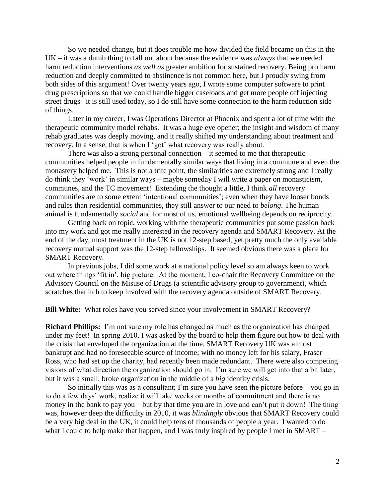So we needed change, but it does trouble me how divided the field became on this in the UK – it was a dumb thing to fall out about because the evidence was *always* that we needed harm reduction interventions *as well as* greater ambition for sustained recovery. Being pro harm reduction and deeply committed to abstinence is not common here, but I proudly swing from both sides of this argument! Over twenty years ago, I wrote some computer software to print drug prescriptions so that we could handle bigger caseloads and get more people off injecting street drugs –it is still used today, so I do still have some connection to the harm reduction side of things.

Later in my career, I was Operations Director at Phoenix and spent a lot of time with the therapeutic community model rehabs. It was a huge eye opener; the insight and wisdom of many rehab graduates was deeply moving, and it really shifted my understanding about treatment and recovery. In a sense, that is when I 'got' what recovery was really about.

There was also a strong personal connection  $-$  it seemed to me that therapeutic communities helped people in fundamentally similar ways that living in a commune and even the monastery helped me. This is not a trite point, the similarities are extremely strong and I really do think they 'work' in similar ways – maybe someday I will write a paper on monasticism, communes, and the TC movement! Extending the thought a little, I think *all* recovery communities are to some extent 'intentional communities'; even when they have looser bonds and rules than residential communities, they still answer to our need to *belong*. The human animal is fundamentally *social* and for most of us, emotional wellbeing depends on reciprocity.

Getting back on topic, working with the therapeutic communities put some passion back into my work and got me really interested in the recovery agenda and SMART Recovery. At the end of the day, most treatment in the UK is not 12-step based, yet pretty much the only available recovery mutual support was the 12-step fellowships. It seemed obvious there was a place for SMART Recovery.

In previous jobs, I did some work at a national policy level so am always keen to work out where things 'fit in', big picture. At the moment, I co-chair the Recovery Committee on the Advisory Council on the Misuse of Drugs (a scientific advisory group to government), which scratches that itch to keep involved with the recovery agenda outside of SMART Recovery.

**Bill White:** What roles have you served since your involvement in SMART Recovery?

**Richard Phillips:** I'm not sure my role has changed as much as the organization has changed under my feet! In spring 2010, I was asked by the board to help them figure out how to deal with the crisis that enveloped the organization at the time. SMART Recovery UK was almost bankrupt and had no foreseeable source of income; with no money left for his salary, Fraser Ross, who had set up the charity, had recently been made redundant. There were also competing visions of what direction the organization should go in. I'm sure we will get into that a bit later, but it was a small, broke organization in the middle of a *big* identity crisis.

So initially this was as a consultant; I'm sure you have seen the picture before – you go in to do a few days' work, realize it will take weeks or months of commitment and there is no money in the bank to pay you – but by that time you are in love and can't put it down! The thing was, however deep the difficulty in 2010, it was *blindingly* obvious that SMART Recovery could be a very big deal in the UK, it could help tens of thousands of people a year. I wanted to do what I could to help make that happen, and I was truly inspired by people I met in SMART –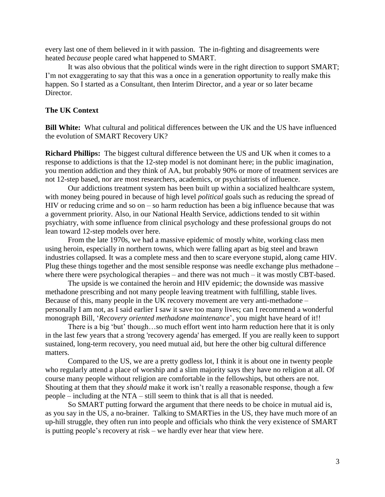every last one of them believed in it with passion. The in-fighting and disagreements were heated *because* people cared what happened to SMART.

It was also obvious that the political winds were in the right direction to support SMART; I'm not exaggerating to say that this was a once in a generation opportunity to really make this happen. So I started as a Consultant, then Interim Director, and a year or so later became Director.

#### **The UK Context**

**Bill White:** What cultural and political differences between the UK and the US have influenced the evolution of SMART Recovery UK?

**Richard Phillips:** The biggest cultural difference between the US and UK when it comes to a response to addictions is that the 12-step model is not dominant here; in the public imagination, you mention addiction and they think of AA, but probably 90% or more of treatment services are not 12-step based, nor are most researchers, academics, or psychiatrists of influence.

Our addictions treatment system has been built up within a socialized healthcare system, with money being poured in because of high level *political* goals such as reducing the spread of HIV or reducing crime and so on – so harm reduction has been a big influence because that was a government priority. Also, in our National Health Service, addictions tended to sit within psychiatry, with some influence from clinical psychology and these professional groups do not lean toward 12-step models over here.

From the late 1970s, we had a massive epidemic of mostly white, working class men using heroin, especially in northern towns, which were falling apart as big steel and brawn industries collapsed. It was a complete mess and then to scare everyone stupid, along came HIV. Plug these things together and the most sensible response was needle exchange plus methadone – where there were psychological therapies – and there was not much – it was mostly CBT-based.

The upside is we contained the heroin and HIV epidemic; the downside was massive methadone prescribing and not many people leaving treatment with fulfilling, stable lives. Because of this, many people in the UK recovery movement are very anti-methadone – personally I am not, as I said earlier I saw it save too many lives; can I recommend a wonderful monograph Bill, '*Recovery oriented methadone maintenance*', you might have heard of it!!

There is a big 'but' though…so much effort went into harm reduction here that it is only in the last few years that a strong 'recovery agenda' has emerged. If you are really keen to support sustained, long-term recovery, you need mutual aid, but here the other big cultural difference matters.

Compared to the US, we are a pretty godless lot, I think it is about one in twenty people who regularly attend a place of worship and a slim majority says they have no religion at all. Of course many people without religion are comfortable in the fellowships, but others are not. Shouting at them that they *should* make it work isn't really a reasonable response, though a few people – including at the NTA – still seem to think that is all that is needed.

So SMART putting forward the argument that there needs to be choice in mutual aid is, as you say in the US, a no-brainer. Talking to SMARTies in the US, they have much more of an up-hill struggle, they often run into people and officials who think the very existence of SMART is putting people's recovery at risk – we hardly ever hear that view here.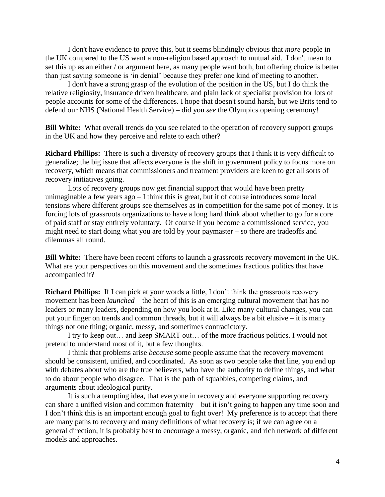I don't have evidence to prove this, but it seems blindingly obvious that *more* people in the UK compared to the US want a non-religion based approach to mutual aid. I don't mean to set this up as an either / or argument here, as many people want both, but offering choice is better than just saying someone is 'in denial' because they prefer one kind of meeting to another.

I don't have a strong grasp of the evolution of the position in the US, but I do think the relative religiosity, insurance driven healthcare, and plain lack of specialist provision for lots of people accounts for some of the differences. I hope that doesn't sound harsh, but we Brits tend to defend our NHS (National Health Service) – did you *see* the Olympics opening ceremony!

**Bill White:** What overall trends do you see related to the operation of recovery support groups in the UK and how they perceive and relate to each other?

**Richard Phillips:** There is such a diversity of recovery groups that I think it is very difficult to generalize; the big issue that affects everyone is the shift in government policy to focus more on recovery, which means that commissioners and treatment providers are keen to get all sorts of recovery initiatives going.

Lots of recovery groups now get financial support that would have been pretty unimaginable a few years ago – I think this is great, but it of course introduces some local tensions where different groups see themselves as in competition for the same pot of money. It is forcing lots of grassroots organizations to have a long hard think about whether to go for a core of paid staff or stay entirely voluntary. Of course if you become a commissioned service, you might need to start doing what you are told by your paymaster – so there are tradeoffs and dilemmas all round.

**Bill White:** There have been recent efforts to launch a grassroots recovery movement in the UK. What are your perspectives on this movement and the sometimes fractious politics that have accompanied it?

**Richard Phillips:** If I can pick at your words a little, I don't think the grassroots recovery movement has been *launched* – the heart of this is an emerging cultural movement that has no leaders or many leaders, depending on how you look at it. Like many cultural changes, you can put your finger on trends and common threads, but it will always be a bit elusive – it is many things not one thing; organic, messy, and sometimes contradictory.

I try to keep out… and keep SMART out… of the more fractious politics. I would not pretend to understand most of it, but a few thoughts.

I think that problems arise *because* some people assume that the recovery movement should be consistent, unified, and coordinated. As soon as two people take that line, you end up with debates about who are the true believers, who have the authority to define things, and what to do about people who disagree. That is the path of squabbles, competing claims, and arguments about ideological purity.

It is such a tempting idea, that everyone in recovery and everyone supporting recovery can share a unified vision and common fraternity – but it isn't going to happen any time soon and I don't think this is an important enough goal to fight over! My preference is to accept that there are many paths to recovery and many definitions of what recovery is; if we can agree on a general direction, it is probably best to encourage a messy, organic, and rich network of different models and approaches.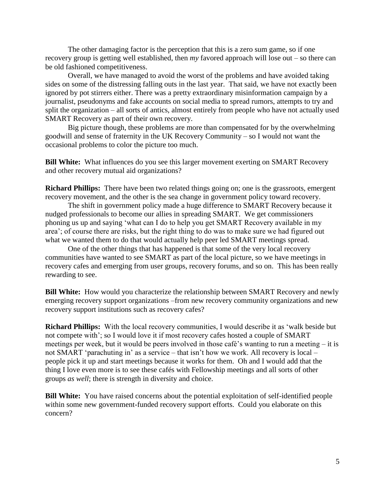The other damaging factor is the perception that this is a zero sum game, so if one recovery group is getting well established, then *my* favored approach will lose out – so there can be old fashioned competitiveness.

Overall, we have managed to avoid the worst of the problems and have avoided taking sides on some of the distressing falling outs in the last year. That said, we have not exactly been ignored by pot stirrers either. There was a pretty extraordinary misinformation campaign by a journalist, pseudonyms and fake accounts on social media to spread rumors, attempts to try and split the organization – all sorts of antics, almost entirely from people who have not actually used SMART Recovery as part of their own recovery.

Big picture though, these problems are more than compensated for by the overwhelming goodwill and sense of fraternity in the UK Recovery Community – so I would not want the occasional problems to color the picture too much.

**Bill White:** What influences do you see this larger movement exerting on SMART Recovery and other recovery mutual aid organizations?

**Richard Phillips:** There have been two related things going on; one is the grassroots, emergent recovery movement, and the other is the sea change in government policy toward recovery.

The shift in government policy made a huge difference to SMART Recovery because it nudged professionals to become our allies in spreading SMART. We get commissioners phoning us up and saying 'what can I do to help you get SMART Recovery available in my area'; of course there are risks, but the right thing to do was to make sure we had figured out what we wanted them to do that would actually help peer led SMART meetings spread.

One of the other things that has happened is that some of the very local recovery communities have wanted to see SMART as part of the local picture, so we have meetings in recovery cafes and emerging from user groups, recovery forums, and so on. This has been really rewarding to see.

**Bill White:** How would you characterize the relationship between SMART Recovery and newly emerging recovery support organizations –from new recovery community organizations and new recovery support institutions such as recovery cafes?

**Richard Phillips:** With the local recovery communities, I would describe it as 'walk beside but not compete with'; so I would love it if most recovery cafes hosted a couple of SMART meetings per week, but it would be peers involved in those café's wanting to run a meeting – it is not SMART 'parachuting in' as a service – that isn't how we work. All recovery is local – people pick it up and start meetings because it works for them. Oh and I would add that the thing I love even more is to see these cafés with Fellowship meetings and all sorts of other groups *as well*; there is strength in diversity and choice.

**Bill White:** You have raised concerns about the potential exploitation of self-identified people within some new government-funded recovery support efforts. Could you elaborate on this concern?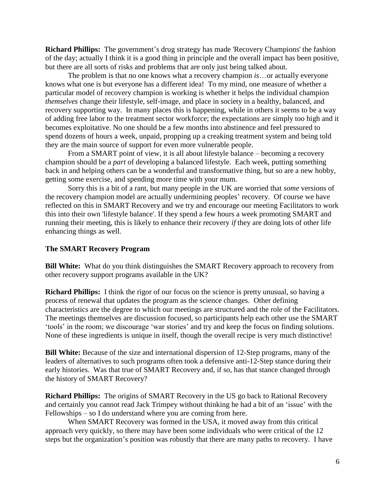**Richard Phillips:** The government's drug strategy has made 'Recovery Champions' the fashion of the day; actually I think it is a good thing in principle and the overall impact has been positive, but there are all sorts of risks and problems that are only just being talked about.

The problem is that no one knows what a recovery champion *is*…or actually everyone knows what one is but everyone has a different idea! To my mind, one measure of whether a particular model of recovery champion is working is whether it helps the individual champion *themselves* change their lifestyle, self-image, and place in society in a healthy, balanced, and recovery supporting way. In many places this is happening, while in others it seems to be a way of adding free labor to the treatment sector workforce; the expectations are simply too high and it becomes exploitative. No one should be a few months into abstinence and feel pressured to spend dozens of hours a week, unpaid, propping up a creaking treatment system and being told they are the main source of support for even more vulnerable people.

From a SMART point of view, it is all about lifestyle balance – becoming a recovery champion should be a *part* of developing a balanced lifestyle. Each week, putting something back in and helping others can be a wonderful and transformative thing, but so are a new hobby, getting some exercise, and spending more time with your mum.

Sorry this is a bit of a rant, but many people in the UK are worried that *some* versions of the recovery champion model are actually undermining peoples' recovery. Of course we have reflected on this in SMART Recovery and we try and encourage our meeting Facilitators to work this into their own 'lifestyle balance'. If they spend a few hours a week promoting SMART and running their meeting, this is likely to enhance their recovery *if* they are doing lots of other life enhancing things as well.

#### **The SMART Recovery Program**

**Bill White:** What do you think distinguishes the SMART Recovery approach to recovery from other recovery support programs available in the UK?

**Richard Phillips:** I think the rigor of our focus on the science is pretty unusual, so having a process of renewal that updates the program as the science changes. Other defining characteristics are the degree to which our meetings are structured and the role of the Facilitators. The meetings themselves are discussion focused, so participants help each other use the SMART 'tools' in the room; we discourage 'war stories' and try and keep the focus on finding solutions. None of these ingredients is unique in itself, though the overall recipe is very much distinctive!

**Bill White:** Because of the size and international dispersion of 12-Step programs, many of the leaders of alternatives to such programs often took a defensive anti-12-Step stance during their early histories. Was that true of SMART Recovery and, if so, has that stance changed through the history of SMART Recovery?

**Richard Phillips:** The origins of SMART Recovery in the US go back to Rational Recovery and certainly you cannot read Jack Trimpey without thinking he had a bit of an 'issue' with the Fellowships – so I do understand where you are coming from here.

When SMART Recovery was formed in the USA, it moved away from this critical approach very quickly, so there may have been some individuals who were critical of the 12 steps but the organization's position was robustly that there are many paths to recovery. I have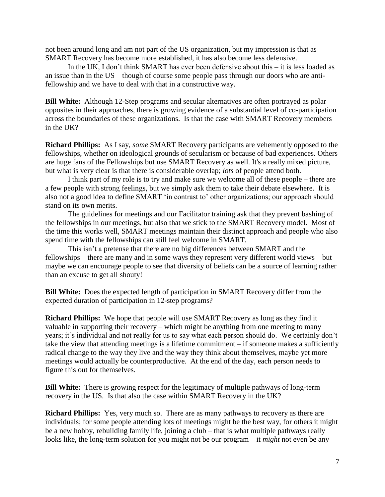not been around long and am not part of the US organization, but my impression is that as SMART Recovery has become more established, it has also become less defensive.

In the UK, I don't think SMART has ever been defensive about this – it is less loaded as an issue than in the US – though of course some people pass through our doors who are antifellowship and we have to deal with that in a constructive way.

**Bill White:** Although 12-Step programs and secular alternatives are often portrayed as polar opposites in their approaches, there is growing evidence of a substantial level of co-participation across the boundaries of these organizations. Is that the case with SMART Recovery members in the UK?

**Richard Phillips:** As I say, *some* SMART Recovery participants are vehemently opposed to the fellowships, whether on ideological grounds of secularism or because of bad experiences. Others are huge fans of the Fellowships but use SMART Recovery as well. It's a really mixed picture, but what is very clear is that there is considerable overlap; *lots* of people attend both.

I think part of my role is to try and make sure we welcome all of these people – there are a few people with strong feelings, but we simply ask them to take their debate elsewhere. It is also not a good idea to define SMART 'in contrast to' other organizations; our approach should stand on its own merits.

The guidelines for meetings and our Facilitator training ask that they prevent bashing of the fellowships in our meetings, but also that we stick to the SMART Recovery model. Most of the time this works well, SMART meetings maintain their distinct approach and people who also spend time with the fellowships can still feel welcome in SMART.

This isn't a pretense that there are no big differences between SMART and the fellowships – there are many and in some ways they represent very different world views – but maybe we can encourage people to see that diversity of beliefs can be a source of learning rather than an excuse to get all shouty!

**Bill White:** Does the expected length of participation in SMART Recovery differ from the expected duration of participation in 12-step programs?

**Richard Phillips:** We hope that people will use SMART Recovery as long as they find it valuable in supporting their recovery – which might be anything from one meeting to many years; it's individual and not really for us to say what each person should do. We certainly don't take the view that attending meetings is a lifetime commitment  $-$  if someone makes a sufficiently radical change to the way they live and the way they think about themselves, maybe yet more meetings would actually be counterproductive. At the end of the day, each person needs to figure this out for themselves.

**Bill White:** There is growing respect for the legitimacy of multiple pathways of long-term recovery in the US. Is that also the case within SMART Recovery in the UK?

**Richard Phillips:** Yes, very much so. There are as many pathways to recovery as there are individuals; for some people attending lots of meetings might be the best way, for others it might be a new hobby, rebuilding family life, joining a club – that is what multiple pathways really looks like, the long-term solution for you might not be our program – it *might* not even be any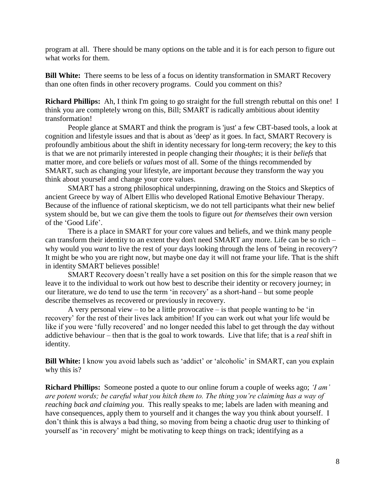program at all. There should be many options on the table and it is for each person to figure out what works for them.

**Bill White:** There seems to be less of a focus on identity transformation in SMART Recovery than one often finds in other recovery programs. Could you comment on this?

**Richard Phillips:** Ah, I think I'm going to go straight for the full strength rebuttal on this one! I think you are completely wrong on this, Bill; SMART is radically ambitious about identity transformation!

People glance at SMART and think the program is 'just' a few CBT-based tools, a look at cognition and lifestyle issues and that is about as 'deep' as it goes. In fact, SMART Recovery is profoundly ambitious about the shift in identity necessary for long-term recovery; the key to this is that we are not primarily interested in people changing their *thoughts*; it is their *beliefs* that matter more, and core beliefs or *values* most of all. Some of the things recommended by SMART, such as changing your lifestyle, are important *because* they transform the way you think about yourself and change your core values.

SMART has a strong philosophical underpinning, drawing on the Stoics and Skeptics of ancient Greece by way of Albert Ellis who developed Rational Emotive Behaviour Therapy. Because of the influence of rational skepticism, we do not tell participants what their new belief system should be, but we can give them the tools to figure out *for themselves* their own version of the 'Good Life'.

There is a place in SMART for your core values and beliefs, and we think many people can transform their identity to an extent they don't need SMART any more. Life can be so rich – why would you *want* to live the rest of your days looking through the lens of 'being in recovery'? It might be who you are right now, but maybe one day it will not frame your life. That is the shift in identity SMART believes possible!

SMART Recovery doesn't really have a set position on this for the simple reason that we leave it to the individual to work out how best to describe their identity or recovery journey; in our literature, we do tend to use the term 'in recovery' as a short-hand – but some people describe themselves as recovered or previously in recovery.

A very personal view – to be a little provocative – is that people wanting to be 'in recovery' for the rest of their lives lack ambition! If you can work out what your life would be like if you were 'fully recovered' and no longer needed this label to get through the day without addictive behaviour – then that is the goal to work towards. Live that life; that is a *real* shift in identity.

**Bill White:** I know you avoid labels such as 'addict' or 'alcoholic' in SMART, can you explain why this is?

**Richard Phillips:** Someone posted a quote to our online forum a couple of weeks ago; *'I am' are potent words; be careful what you hitch them to. The thing you're claiming has a way of reaching back and claiming you.* This really speaks to me; labels are laden with meaning and have consequences, apply them to yourself and it changes the way you think about yourself. I don't think this is always a bad thing, so moving from being a chaotic drug user to thinking of yourself as 'in recovery' might be motivating to keep things on track; identifying as a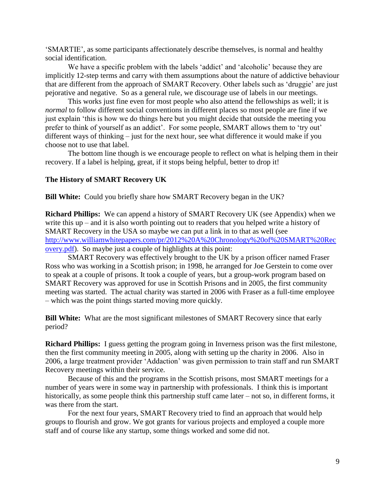'SMARTIE', as some participants affectionately describe themselves, is normal and healthy social identification.

We have a specific problem with the labels 'addict' and 'alcoholic' because they are implicitly 12-step terms and carry with them assumptions about the nature of addictive behaviour that are different from the approach of SMART Recovery. Other labels such as 'druggie' are just pejorative and negative. So as a general rule, we discourage use of labels in our meetings.

This works just fine even for most people who also attend the fellowships as well; it is *normal* to follow different social conventions in different places so most people are fine if we just explain 'this is how we do things here but you might decide that outside the meeting you prefer to think of yourself as an addict'. For some people, SMART allows them to 'try out' different ways of thinking – just for the next hour, see what difference it would make if you choose not to use that label.

The bottom line though is we encourage people to reflect on what is helping them in their recovery. If a label is helping, great, if it stops being helpful, better to drop it!

#### **The History of SMART Recovery UK**

**Bill White:** Could you briefly share how SMART Recovery began in the UK?

**Richard Phillips:** We can append a history of SMART Recovery UK (see Appendix) when we write this up – and it is also worth pointing out to readers that you helped write a history of SMART Recovery in the USA so maybe we can put a link in to that as well (see [http://www.williamwhitepapers.com/pr/2012%20A%20Chronology%20of%20SMART%20Rec](http://www.williamwhitepapers.com/pr/2012%20A%20Chronology%20of%20SMART%20Recovery.pdf) [overy.pdf\)](http://www.williamwhitepapers.com/pr/2012%20A%20Chronology%20of%20SMART%20Recovery.pdf). So maybe just a couple of highlights at this point:

SMART Recovery was effectively brought to the UK by a prison officer named Fraser Ross who was working in a Scottish prison; in 1998, he arranged for Joe Gerstein to come over to speak at a couple of prisons. It took a couple of years, but a group-work program based on SMART Recovery was approved for use in Scottish Prisons and in 2005, the first community meeting was started. The actual charity was started in 2006 with Fraser as a full-time employee – which was the point things started moving more quickly.

**Bill White:** What are the most significant milestones of SMART Recovery since that early period?

**Richard Phillips:** I guess getting the program going in Inverness prison was the first milestone, then the first community meeting in 2005, along with setting up the charity in 2006. Also in 2006, a large treatment provider 'Addaction' was given permission to train staff and run SMART Recovery meetings within their service.

Because of this and the programs in the Scottish prisons, most SMART meetings for a number of years were in some way in partnership with professionals. I think this is important historically, as some people think this partnership stuff came later – not so, in different forms, it was there from the start.

For the next four years, SMART Recovery tried to find an approach that would help groups to flourish and grow. We got grants for various projects and employed a couple more staff and of course like any startup, some things worked and some did not.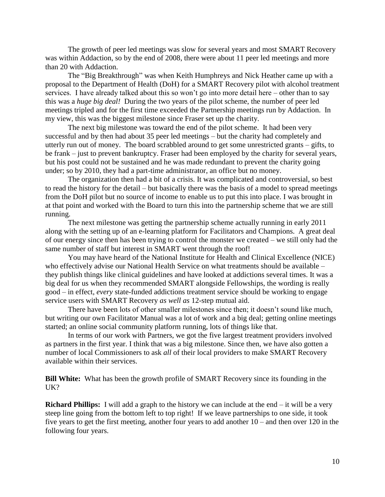The growth of peer led meetings was slow for several years and most SMART Recovery was within Addaction, so by the end of 2008, there were about 11 peer led meetings and more than 20 with Addaction.

The "Big Breakthrough" was when Keith Humphreys and Nick Heather came up with a proposal to the Department of Health (DoH) for a SMART Recovery pilot with alcohol treatment services. I have already talked about this so won't go into more detail here – other than to say this was a *huge big deal!* During the two years of the pilot scheme, the number of peer led meetings tripled and for the first time exceeded the Partnership meetings run by Addaction. In my view, this was the biggest milestone since Fraser set up the charity.

The next big milestone was toward the end of the pilot scheme. It had been very successful and by then had about 35 peer led meetings – but the charity had completely and utterly run out of money. The board scrabbled around to get some unrestricted grants – gifts, to be frank – just to prevent bankruptcy. Fraser had been employed by the charity for several years, but his post could not be sustained and he was made redundant to prevent the charity going under; so by 2010, they had a part-time administrator, an office but no money.

The organization then had a bit of a crisis. It was complicated and controversial, so best to read the history for the detail – but basically there was the basis of a model to spread meetings from the DoH pilot but no source of income to enable us to put this into place. I was brought in at that point and worked with the Board to turn this into the partnership scheme that we are still running.

The next milestone was getting the partnership scheme actually running in early 2011 along with the setting up of an e-learning platform for Facilitators and Champions. A great deal of our energy since then has been trying to control the monster we created – we still only had the same number of staff but interest in SMART went through the roof!

You may have heard of the National Institute for Health and Clinical Excellence (NICE) who effectively advise our National Health Service on what treatments should be available – they publish things like clinical guidelines and have looked at addictions several times. It was a big deal for us when they recommended SMART alongside Fellowships, the wording is really good – in effect, *every* state-funded addictions treatment service should be working to engage service users with SMART Recovery *as well as* 12-step mutual aid.

There have been lots of other smaller milestones since then; it doesn't sound like much, but writing our own Facilitator Manual was a lot of work and a big deal; getting online meetings started; an online social community platform running, lots of things like that.

In terms of our work with Partners, we got the five largest treatment providers involved as partners in the first year. I think that was a big milestone. Since then, we have also gotten a number of local Commissioners to ask *all* of their local providers to make SMART Recovery available within their services.

**Bill White:** What has been the growth profile of SMART Recovery since its founding in the UK?

**Richard Phillips:** I will add a graph to the history we can include at the end – it will be a very steep line going from the bottom left to top right! If we leave partnerships to one side, it took five years to get the first meeting, another four years to add another 10 – and then over 120 in the following four years.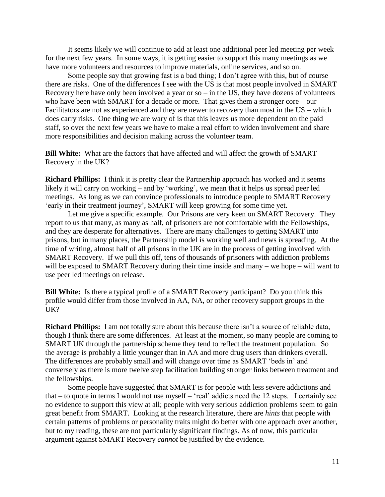It seems likely we will continue to add at least one additional peer led meeting per week for the next few years. In some ways, it is getting easier to support this many meetings as we have more volunteers and resources to improve materials, online services, and so on.

Some people say that growing fast is a bad thing; I don't agree with this, but of course there are risks. One of the differences I see with the US is that most people involved in SMART Recovery here have only been involved a year or so  $-$  in the US, they have dozens of volunteers who have been with SMART for a decade or more. That gives them a stronger core – our Facilitators are not as experienced and they are newer to recovery than most in the US – which does carry risks. One thing we are wary of is that this leaves us more dependent on the paid staff, so over the next few years we have to make a real effort to widen involvement and share more responsibilities and decision making across the volunteer team.

**Bill White:** What are the factors that have affected and will affect the growth of SMART Recovery in the UK?

**Richard Phillips:** I think it is pretty clear the Partnership approach has worked and it seems likely it will carry on working – and by 'working', we mean that it helps us spread peer led meetings. As long as we can convince professionals to introduce people to SMART Recovery 'early in their treatment journey', SMART will keep growing for some time yet.

Let me give a specific example. Our Prisons are very keen on SMART Recovery. They report to us that many, as many as half, of prisoners are not comfortable with the Fellowships, and they are desperate for alternatives. There are many challenges to getting SMART into prisons, but in many places, the Partnership model is working well and news is spreading. At the time of writing, almost half of all prisons in the UK are in the process of getting involved with SMART Recovery. If we pull this off, tens of thousands of prisoners with addiction problems will be exposed to SMART Recovery during their time inside and many – we hope – will want to use peer led meetings on release.

**Bill White:** Is there a typical profile of a SMART Recovery participant? Do you think this profile would differ from those involved in AA, NA, or other recovery support groups in the UK?

**Richard Phillips:** I am not totally sure about this because there isn't a source of reliable data, though I think there are some differences. At least at the moment, so many people are coming to SMART UK through the partnership scheme they tend to reflect the treatment population. So the average is probably a little younger than in AA and more drug users than drinkers overall. The differences are probably small and will change over time as SMART 'beds in' and conversely as there is more twelve step facilitation building stronger links between treatment and the fellowships.

Some people have suggested that SMART is for people with less severe addictions and that – to quote in terms I would not use myself – 'real' addicts need the 12 steps. I certainly see no evidence to support this view at all; people with very serious addiction problems seem to gain great benefit from SMART. Looking at the research literature, there are *hints* that people with certain patterns of problems or personality traits might do better with one approach over another, but to my reading, these are not particularly significant findings. As of now, this particular argument against SMART Recovery *cannot* be justified by the evidence.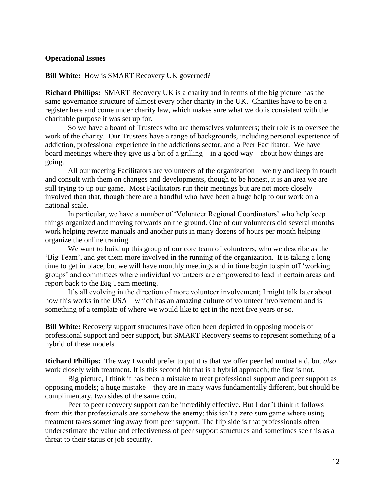#### **Operational Issues**

**Bill White:** How is SMART Recovery UK governed?

**Richard Phillips:** SMART Recovery UK is a charity and in terms of the big picture has the same governance structure of almost every other charity in the UK. Charities have to be on a register here and come under charity law, which makes sure what we do is consistent with the charitable purpose it was set up for.

So we have a board of Trustees who are themselves volunteers; their role is to oversee the work of the charity. Our Trustees have a range of backgrounds, including personal experience of addiction, professional experience in the addictions sector, and a Peer Facilitator. We have board meetings where they give us a bit of a grilling – in a good way – about how things are going.

All our meeting Facilitators are volunteers of the organization – we try and keep in touch and consult with them on changes and developments, though to be honest, it is an area we are still trying to up our game. Most Facilitators run their meetings but are not more closely involved than that, though there are a handful who have been a huge help to our work on a national scale.

In particular, we have a number of 'Volunteer Regional Coordinators' who help keep things organized and moving forwards on the ground. One of our volunteers did several months work helping rewrite manuals and another puts in many dozens of hours per month helping organize the online training.

We want to build up this group of our core team of volunteers, who we describe as the 'Big Team', and get them more involved in the running of the organization. It is taking a long time to get in place, but we will have monthly meetings and in time begin to spin off 'working groups' and committees where individual volunteers are empowered to lead in certain areas and report back to the Big Team meeting.

It's all evolving in the direction of more volunteer involvement; I might talk later about how this works in the USA – which has an amazing culture of volunteer involvement and is something of a template of where we would like to get in the next five years or so.

**Bill White:** Recovery support structures have often been depicted in opposing models of professional support and peer support, but SMART Recovery seems to represent something of a hybrid of these models.

**Richard Phillips:** The way I would prefer to put it is that we offer peer led mutual aid, but *also* work closely with treatment. It is this second bit that is a hybrid approach; the first is not.

Big picture, I think it has been a mistake to treat professional support and peer support as opposing models; a huge mistake – they are in many ways fundamentally different, but should be complimentary, two sides of the same coin.

Peer to peer recovery support can be incredibly effective. But I don't think it follows from this that professionals are somehow the enemy; this isn't a zero sum game where using treatment takes something away from peer support. The flip side is that professionals often underestimate the value and effectiveness of peer support structures and sometimes see this as a threat to their status or job security.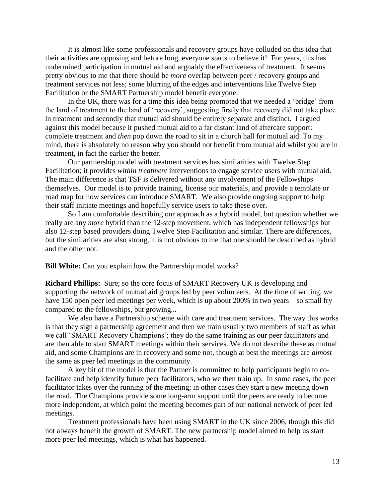It is almost like some professionals and recovery groups have colluded on this idea that their activities are opposing and before long, everyone starts to believe it! For years, this has undermined participation in mutual aid and arguably the effectiveness of treatment. It seems pretty obvious to me that there should be *more* overlap between peer / recovery groups and treatment services not less; some blurring of the edges and interventions like Twelve Step Facilitation or the SMART Partnership model benefit everyone.

In the UK, there was for a time this idea being promoted that we needed a 'bridge' from the land of treatment to the land of 'recovery', suggesting firstly that recovery did not take place in treatment and secondly that mutual aid should be entirely separate and distinct. I argued against this model because it pushed mutual aid to a far distant land of aftercare support: complete treatment and *then* pop down the road to sit in a church hall for mutual aid. To my mind, there is absolutely no reason why you should not benefit from mutual aid whilst you are in treatment, in fact the earlier the better.

Our partnership model with treatment services has similarities with Twelve Step Facilitation; it provides *within treatment* interventions to engage service users with mutual aid. The main difference is that TSF is delivered without any involvement of the Fellowships themselves. Our model is to provide training, license our materials, and provide a template or road map for how services can introduce SMART. We also provide ongoing support to help their staff initiate meetings and hopefully service users to take these over.

So I am comfortable describing our approach as a hybrid model, but question whether we really are any *more* hybrid than the 12-step movement, which has independent fellowships but also 12-step based providers doing Twelve Step Facilitation and similar. There are differences, but the similarities are also strong, it is not obvious to me that one should be described as hybrid and the other not.

**Bill White:** Can you explain how the Partnership model works?

**Richard Phillips:** Sure; so the core focus of SMART Recovery UK is developing and supporting the network of mutual aid groups led by peer volunteers. At the time of writing, we have 150 open peer led meetings per week, which is up about 200% in two years – so small fry compared to the fellowships, but growing...

We also have a Partnership scheme with care and treatment services. The way this works is that they sign a partnership agreement and then we train usually two members of staff as what we call 'SMART Recovery Champions'; they do the same training as our peer facilitators and are then able to start SMART meetings within their services. We do not describe these as mutual aid, and some Champions are in recovery and some not, though at best the meetings are *almost* the same as peer led meetings in the community.

A key bit of the model is that the Partner is committed to help participants begin to cofacilitate and help identify future peer facilitators, who we then train up. In some cases, the peer facilitator takes over the running of the meeting; in other cases they start a new meeting down the road. The Champions provide some long-arm support until the peers are ready to become more independent, at which point the meeting becomes part of our national network of peer led meetings.

Treatment professionals have been using SMART in the UK since 2006, though this did not always benefit the growth of SMART. The new partnership model aimed to help us start more peer led meetings, which is what has happened.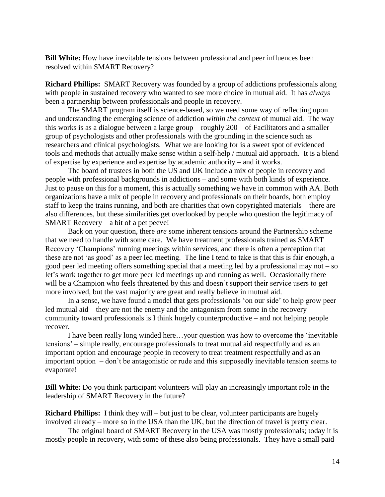**Bill White:** How have inevitable tensions between professional and peer influences been resolved within SMART Recovery?

**Richard Phillips:** SMART Recovery was founded by a group of addictions professionals along with people in sustained recovery who wanted to see more choice in mutual aid. It has *always* been a partnership between professionals and people in recovery.

The SMART program itself is science-based, so we need some way of reflecting upon and understanding the emerging science of addiction *within the context* of mutual aid. The way this works is as a dialogue between a large group – roughly 200 – of Facilitators and a smaller group of psychologists and other professionals with the grounding in the science such as researchers and clinical psychologists. What we are looking for is a sweet spot of evidenced tools and methods that actually make sense within a self-help / mutual aid approach. It is a blend of expertise by experience and expertise by academic authority – and it works.

The board of trustees in both the US and UK include a mix of people in recovery and people with professional backgrounds in addictions – and some with both kinds of experience. Just to pause on this for a moment, this is actually something we have in common with AA. Both organizations have a mix of people in recovery and professionals on their boards, both employ staff to keep the trains running, and both are charities that own copyrighted materials – there are also differences, but these similarities get overlooked by people who question the legitimacy of SMART Recovery – a bit of a pet peeve!

Back on your question, there *are* some inherent tensions around the Partnership scheme that we need to handle with some care. We have treatment professionals trained as SMART Recovery 'Champions' running meetings within services, and there is often a perception that these are not 'as good' as a peer led meeting. The line I tend to take is that this is fair enough, a good peer led meeting offers something special that a meeting led by a professional may not – so let's work together to get more peer led meetings up and running as well. Occasionally there will be a Champion who feels threatened by this and doesn't support their service users to get more involved, but the vast majority are great and really believe in mutual aid.

In a sense, we have found a model that gets professionals 'on our side' to help grow peer led mutual aid – they are not the enemy and the antagonism from some in the recovery community toward professionals is I think hugely counterproductive – and not helping people recover.

I have been really long winded here…your question was how to overcome the 'inevitable tensions' – simple really, encourage professionals to treat mutual aid respectfully and as an important option and encourage people in recovery to treat treatment respectfully and as an important option – don't be antagonistic or rude and this supposedly inevitable tension seems to evaporate!

**Bill White:** Do you think participant volunteers will play an increasingly important role in the leadership of SMART Recovery in the future?

**Richard Phillips:** I think they will – but just to be clear, volunteer participants are hugely involved already – more so in the USA than the UK, but the direction of travel is pretty clear.

The original board of SMART Recovery in the USA was mostly professionals; today it is mostly people in recovery, with some of these also being professionals. They have a small paid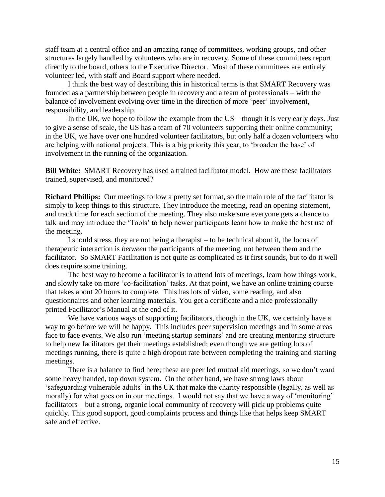staff team at a central office and an amazing range of committees, working groups, and other structures largely handled by volunteers who are in recovery. Some of these committees report directly to the board, others to the Executive Director. Most of these committees are entirely volunteer led, with staff and Board support where needed.

I think the best way of describing this in historical terms is that SMART Recovery was founded as a partnership between people in recovery and a team of professionals – with the balance of involvement evolving over time in the direction of more 'peer' involvement, responsibility, and leadership.

In the UK, we hope to follow the example from the US – though it is very early days. Just to give a sense of scale, the US has a team of 70 volunteers supporting their online community; in the UK, we have over one hundred volunteer facilitators, but only half a dozen volunteers who are helping with national projects. This is a big priority this year, to 'broaden the base' of involvement in the running of the organization.

**Bill White:** SMART Recovery has used a trained facilitator model. How are these facilitators trained, supervised, and monitored?

**Richard Phillips:** Our meetings follow a pretty set format, so the main role of the facilitator is simply to keep things to this structure. They introduce the meeting, read an opening statement, and track time for each section of the meeting. They also make sure everyone gets a chance to talk and may introduce the 'Tools' to help newer participants learn how to make the best use of the meeting.

I should stress, they are not being a therapist – to be technical about it, the locus of therapeutic interaction is *between* the participants of the meeting, not between them and the facilitator. So SMART Facilitation is not quite as complicated as it first sounds, but to do it well does require some training.

The best way to become a facilitator is to attend lots of meetings, learn how things work, and slowly take on more 'co-facilitation' tasks. At that point, we have an online training course that takes about 20 hours to complete. This has lots of video, some reading, and also questionnaires and other learning materials. You get a certificate and a nice professionally printed Facilitator's Manual at the end of it.

We have various ways of supporting facilitators, though in the UK, we certainly have a way to go before we will be happy. This includes peer supervision meetings and in some areas face to face events. We also run 'meeting startup seminars' and are creating mentoring structure to help new facilitators get their meetings established; even though we are getting lots of meetings running, there is quite a high dropout rate between completing the training and starting meetings.

There is a balance to find here; these are peer led mutual aid meetings, so we don't want some heavy handed, top down system. On the other hand, we have strong laws about 'safeguarding vulnerable adults' in the UK that make the charity responsible (legally, as well as morally) for what goes on in our meetings. I would not say that we have a way of 'monitoring' facilitators – but a strong, organic local community of recovery will pick up problems quite quickly. This good support, good complaints process and things like that helps keep SMART safe and effective.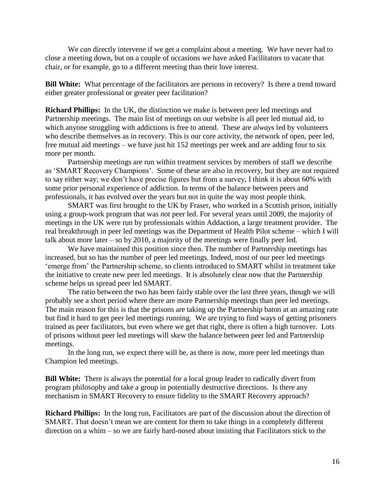We *can* directly intervene if we get a complaint about a meeting. We have never had to close a meeting down, but on a couple of occasions we have asked Facilitators to vacate that chair, or for example, go to a different meeting than their love interest.

**Bill White:** What percentage of the facilitators are persons in recovery? Is there a trend toward either greater professional or greater peer facilitation?

**Richard Phillips:** In the UK, the distinction we make is between peer led meetings and Partnership meetings. The main list of meetings on our website is all peer led mutual aid, to which anyone struggling with addictions is free to attend. These are *always* led by volunteers who describe themselves as in recovery. This is our core activity, the network of open, peer led, free mutual aid meetings – we have just hit 152 meetings per week and are adding four to six more per month.

Partnership meetings are run within treatment services by members of staff we describe as 'SMART Recovery Champions'. Some of these are also in recovery, but they are not required to say either way; we don't have precise figures but from a survey, I think it is about 60% with some prior personal experience of addiction. In terms of the balance between peers and professionals, it has evolved over the years but not in quite the way most people think.

SMART was first brought to the UK by Fraser, who worked in a Scottish prison, initially using a group-work program that was *not* peer led. For several years until 2009, the majority of meetings in the UK were run by professionals within Addaction, a large treatment provider. The real breakthrough in peer led meetings was the Department of Health Pilot scheme – which I will talk about more later – so by 2010, a majority of the meetings were finally peer led.

We have maintained this position since then. The number of Partnership meetings has increased, but so has the number of peer led meetings. Indeed, most of our peer led meetings 'emerge from' the Partnership scheme, so clients introduced to SMART whilst in treatment take the initiative to create new peer led meetings. It is absolutely clear now that the Partnership scheme helps us spread peer led SMART.

The ratio between the two has been fairly stable over the last three years, though we will probably see a short period where there are more Partnership meetings than peer led meetings. The main reason for this is that the prisons are taking up the Partnership baton at an amazing rate but find it hard to get peer led meetings running. We are trying to find ways of getting prisoners trained as peer facilitators, but even where we get that right, there is often a high turnover. Lots of prisons without peer led meetings will skew the balance between peer led and Partnership meetings.

In the long run, we expect there will be, as there is now, more peer led meetings than Champion led meetings.

**Bill White:** There is always the potential for a local group leader to radically divert from program philosophy and take a group in potentially destructive directions. Is there any mechanism in SMART Recovery to ensure fidelity to the SMART Recovery approach?

**Richard Phillips:** In the long run, Facilitators are part of the discussion about the direction of SMART. That doesn't mean we are content for them to take things in a completely different direction on a whim – so we are fairly hard-nosed about insisting that Facilitators stick to the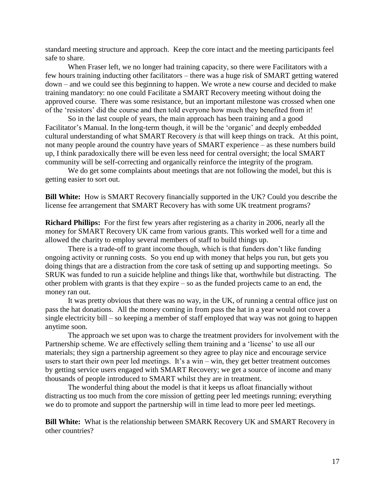standard meeting structure and approach. Keep the core intact and the meeting participants feel safe to share.

When Fraser left, we no longer had training capacity, so there were Facilitators with a few hours training inducting other facilitators – there was a huge risk of SMART getting watered down – and we could see this beginning to happen. We wrote a new course and decided to make training mandatory: no one could Facilitate a SMART Recovery meeting without doing the approved course. There was some resistance, but an important milestone was crossed when one of the 'resistors' did the course and then told everyone how much they benefited from it!

So in the last couple of years, the main approach has been training and a good Facilitator's Manual. In the long-term though, it will be the 'organic' and deeply embedded cultural understanding of what SMART Recovery *is* that will keep things on track. At this point, not many people around the country have years of SMART experience – as these numbers build up, I think paradoxically there will be even less need for central oversight; the local SMART community will be self-correcting and organically reinforce the integrity of the program.

We do get some complaints about meetings that are not following the model, but this is getting easier to sort out.

**Bill White:** How is SMART Recovery financially supported in the UK? Could you describe the license fee arrangement that SMART Recovery has with some UK treatment programs?

**Richard Phillips:** For the first few years after registering as a charity in 2006, nearly all the money for SMART Recovery UK came from various grants. This worked well for a time and allowed the charity to employ several members of staff to build things up.

There is a trade-off to grant income though, which is that funders don't like funding ongoing activity or running costs. So you end up with money that helps you run, but gets you doing things that are a distraction from the core task of setting up and supporting meetings. So SRUK was funded to run a suicide helpline and things like that, worthwhile but distracting. The other problem with grants is that they expire – so as the funded projects came to an end, the money ran out.

It was pretty obvious that there was no way, in the UK, of running a central office just on pass the hat donations. All the money coming in from pass the hat in a year would not cover a single electricity bill – so keeping a member of staff employed that way was not going to happen anytime soon.

The approach we set upon was to charge the treatment providers for involvement with the Partnership scheme. We are effectively selling them training and a 'license' to use all our materials; they sign a partnership agreement so they agree to play nice and encourage service users to start their own peer led meetings. It's a win – win, they get better treatment outcomes by getting service users engaged with SMART Recovery; we get a source of income and many thousands of people introduced to SMART whilst they are in treatment.

The wonderful thing about the model is that it keeps us afloat financially without distracting us too much from the core mission of getting peer led meetings running; everything we do to promote and support the partnership will in time lead to more peer led meetings.

**Bill White:** What is the relationship between SMARK Recovery UK and SMART Recovery in other countries?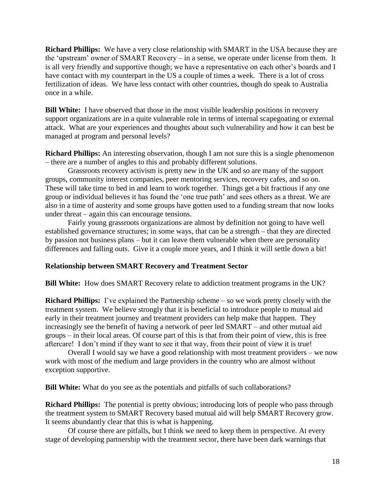**Richard Phillips:** We have a very close relationship with SMART in the USA because they are the 'upstream' owner of SMART Recovery – in a sense, we operate under license from them. It is all very friendly and supportive though; we have a representative on each other's boards and I have contact with my counterpart in the US a couple of times a week. There is a lot of cross fertilization of ideas. We have less contact with other countries, though do speak to Australia once in a while.

**Bill White:** I have observed that those in the most visible leadership positions in recovery support organizations are in a quite vulnerable role in terms of internal scapegoating or external attack. What are your experiences and thoughts about such vulnerability and how it can best be managed at program and personal levels?

**Richard Phillips:** An interesting observation, though I am not sure this is a single phenomenon – there are a number of angles to this and probably different solutions.

Grassroots recovery activism is pretty new in the UK and so are many of the support groups, community interest companies, peer mentoring services, recovery cafes, and so on. These will take time to bed in and learn to work together. Things get a bit fractious if any one group or individual believes it has found the 'one true path' and sees others as a threat. We are also in a time of austerity and some groups have gotten used to a funding stream that now looks under threat – again this can encourage tensions.

Fairly young grassroots organizations are almost by definition not going to have well established governance structures; in some ways, that can be a strength – that they are directed by passion not business plans – but it can leave them vulnerable when there are personality differences and falling outs. Give it a couple more years, and I think it will settle down a bit!

#### **Relationship between SMART Recovery and Treatment Sector**

**Bill White:** How does SMART Recovery relate to addiction treatment programs in the UK?

**Richard Phillips:** I've explained the Partnership scheme – so we work pretty closely with the treatment system. We believe strongly that it is beneficial to introduce people to mutual aid early in their treatment journey and treatment providers can help make that happen. They increasingly see the benefit of having a network of peer led SMART – and other mutual aid groups – in their local areas. Of course part of this is that from their point of view, this is free aftercare! I don't mind if they want to see it that way, from their point of view it is true!

Overall I would say we have a good relationship with most treatment providers – we now work with most of the medium and large providers in the country who are almost without exception supportive.

**Bill White:** What do you see as the potentials and pitfalls of such collaborations?

**Richard Phillips:** The potential is pretty obvious; introducing lots of people who pass through the treatment system to SMART Recovery based mutual aid will help SMART Recovery grow. It seems abundantly clear that this is what is happening.

Of course there are pitfalls, but I think we need to keep them in perspective. At every stage of developing partnership with the treatment sector, there have been dark warnings that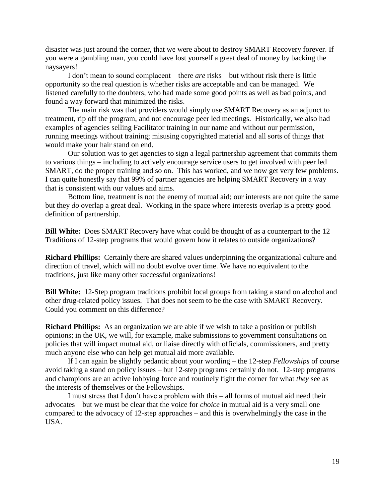disaster was just around the corner, that we were about to destroy SMART Recovery forever. If you were a gambling man, you could have lost yourself a great deal of money by backing the naysayers!

I don't mean to sound complacent – there *are* risks – but without risk there is little opportunity so the real question is whether risks are acceptable and can be managed. We listened carefully to the doubters, who had made some good points as well as bad points, and found a way forward that minimized the risks.

The main risk was that providers would simply use SMART Recovery as an adjunct to treatment, rip off the program, and not encourage peer led meetings. Historically, we also had examples of agencies selling Facilitator training in our name and without our permission, running meetings without training; misusing copyrighted material and all sorts of things that would make your hair stand on end.

Our solution was to get agencies to sign a legal partnership agreement that commits them to various things – including to actively encourage service users to get involved with peer led SMART, do the proper training and so on. This has worked, and we now get very few problems. I can quite honestly say that 99% of partner agencies are helping SMART Recovery in a way that is consistent with our values and aims.

Bottom line, treatment is not the enemy of mutual aid; our interests are not quite the same but they *do* overlap a great deal. Working in the space where interests overlap is a pretty good definition of partnership.

**Bill White:** Does SMART Recovery have what could be thought of as a counterpart to the 12 Traditions of 12-step programs that would govern how it relates to outside organizations?

**Richard Phillips:** Certainly there are shared values underpinning the organizational culture and direction of travel, which will no doubt evolve over time. We have no equivalent to the traditions, just like many other successful organizations!

**Bill White:** 12-Step program traditions prohibit local groups from taking a stand on alcohol and other drug-related policy issues. That does not seem to be the case with SMART Recovery. Could you comment on this difference?

**Richard Phillips:** As an organization we are able if we wish to take a position or publish opinions; in the UK, we will, for example, make submissions to government consultations on policies that will impact mutual aid, or liaise directly with officials, commissioners, and pretty much anyone else who can help get mutual aid more available.

If I can again be slightly pedantic about your wording – the 12-step *Fellowships* of course avoid taking a stand on policy issues – but 12-step programs certainly do not. 12-step programs and champions are an active lobbying force and routinely fight the corner for what *they* see as the interests of themselves or the Fellowships.

I must stress that I don't have a problem with this – all forms of mutual aid need their advocates – but we must be clear that the voice for *choice* in mutual aid is a very small one compared to the advocacy of 12-step approaches – and this is overwhelmingly the case in the USA.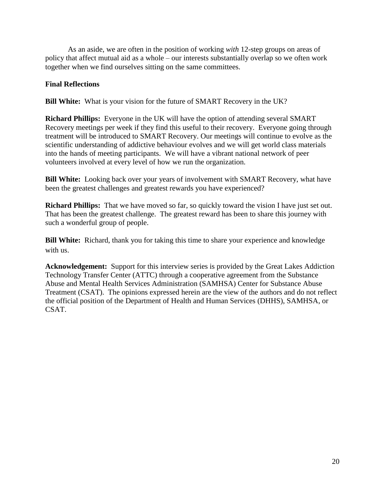As an aside, we are often in the position of working *with* 12-step groups on areas of policy that affect mutual aid as a whole – our interests substantially overlap so we often work together when we find ourselves sitting on the same committees.

#### **Final Reflections**

**Bill White:** What is your vision for the future of SMART Recovery in the UK?

**Richard Phillips:** Everyone in the UK will have the option of attending several SMART Recovery meetings per week if they find this useful to their recovery. Everyone going through treatment will be introduced to SMART Recovery. Our meetings will continue to evolve as the scientific understanding of addictive behaviour evolves and we will get world class materials into the hands of meeting participants. We will have a vibrant national network of peer volunteers involved at every level of how we run the organization.

**Bill White:** Looking back over your years of involvement with SMART Recovery, what have been the greatest challenges and greatest rewards you have experienced?

**Richard Phillips:** That we have moved so far, so quickly toward the vision I have just set out. That has been the greatest challenge. The greatest reward has been to share this journey with such a wonderful group of people.

**Bill White:** Richard, thank you for taking this time to share your experience and knowledge with us.

**Acknowledgement:** Support for this interview series is provided by the Great Lakes Addiction Technology Transfer Center (ATTC) through a cooperative agreement from the Substance Abuse and Mental Health Services Administration (SAMHSA) Center for Substance Abuse Treatment (CSAT). The opinions expressed herein are the view of the authors and do not reflect the official position of the Department of Health and Human Services (DHHS), SAMHSA, or CSAT.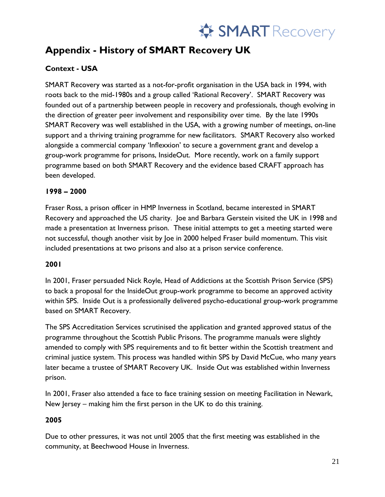# **SMART** Recovery

# **Appendix - History of SMART Recovery UK**

# **Context - USA**

SMART Recovery was started as a not-for-profit organisation in the USA back in 1994, with roots back to the mid-1980s and a group called 'Rational Recovery'. SMART Recovery was founded out of a partnership between people in recovery and professionals, though evolving in the direction of greater peer involvement and responsibility over time. By the late 1990s SMART Recovery was well established in the USA, with a growing number of meetings, on-line support and a thriving training programme for new facilitators. SMART Recovery also worked alongside a commercial company 'Inflexxion' to secure a government grant and develop a group-work programme for prisons, InsideOut. More recently, work on a family support programme based on both SMART Recovery and the evidence based CRAFT approach has been developed.

# **1998 – 2000**

Fraser Ross, a prison officer in HMP Inverness in Scotland, became interested in SMART Recovery and approached the US charity. Joe and Barbara Gerstein visited the UK in 1998 and made a presentation at Inverness prison. These initial attempts to get a meeting started were not successful, though another visit by Joe in 2000 helped Fraser build momentum. This visit included presentations at two prisons and also at a prison service conference.

# **2001**

In 2001, Fraser persuaded Nick Royle, Head of Addictions at the Scottish Prison Service (SPS) to back a proposal for the InsideOut group-work programme to become an approved activity within SPS. Inside Out is a professionally delivered psycho-educational group-work programme based on SMART Recovery.

The SPS Accreditation Services scrutinised the application and granted approved status of the programme throughout the Scottish Public Prisons. The programme manuals were slightly amended to comply with SPS requirements and to fit better within the Scottish treatment and criminal justice system. This process was handled within SPS by David McCue, who many years later became a trustee of SMART Recovery UK. Inside Out was established within Inverness prison.

In 2001, Fraser also attended a face to face training session on meeting Facilitation in Newark, New Jersey – making him the first person in the UK to do this training.

#### **2005**

Due to other pressures, it was not until 2005 that the first meeting was established in the community, at Beechwood House in Inverness.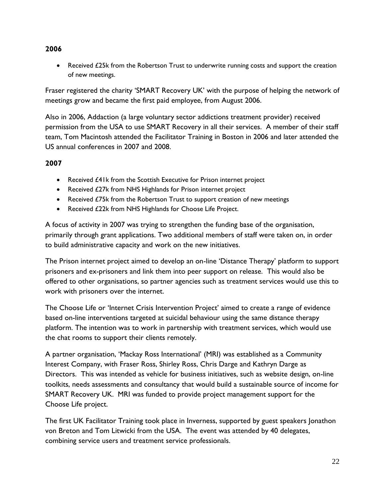#### **2006**

• Received £25k from the Robertson Trust to underwrite running costs and support the creation of new meetings.

Fraser registered the charity 'SMART Recovery UK' with the purpose of helping the network of meetings grow and became the first paid employee, from August 2006.

Also in 2006, Addaction (a large voluntary sector addictions treatment provider) received permission from the USA to use SMART Recovery in all their services. A member of their staff team, Tom Macintosh attended the Facilitator Training in Boston in 2006 and later attended the US annual conferences in 2007 and 2008.

# **2007**

- Received £41k from the Scottish Executive for Prison internet project
- Received £27k from NHS Highlands for Prison internet project
- Received £75k from the Robertson Trust to support creation of new meetings
- Received £22k from NHS Highlands for Choose Life Project.

A focus of activity in 2007 was trying to strengthen the funding base of the organisation, primarily through grant applications. Two additional members of staff were taken on, in order to build administrative capacity and work on the new initiatives.

The Prison internet project aimed to develop an on-line 'Distance Therapy' platform to support prisoners and ex-prisoners and link them into peer support on release. This would also be offered to other organisations, so partner agencies such as treatment services would use this to work with prisoners over the internet.

The Choose Life or 'Internet Crisis Intervention Project' aimed to create a range of evidence based on-line interventions targeted at suicidal behaviour using the same distance therapy platform. The intention was to work in partnership with treatment services, which would use the chat rooms to support their clients remotely.

A partner organisation, 'Mackay Ross International' (MRI) was established as a Community Interest Company, with Fraser Ross, Shirley Ross, Chris Darge and Kathryn Darge as Directors. This was intended as vehicle for business initiatives, such as website design, on-line toolkits, needs assessments and consultancy that would build a sustainable source of income for SMART Recovery UK. MRI was funded to provide project management support for the Choose Life project.

The first UK Facilitator Training took place in Inverness, supported by guest speakers Jonathon von Breton and Tom Litwicki from the USA. The event was attended by 40 delegates, combining service users and treatment service professionals.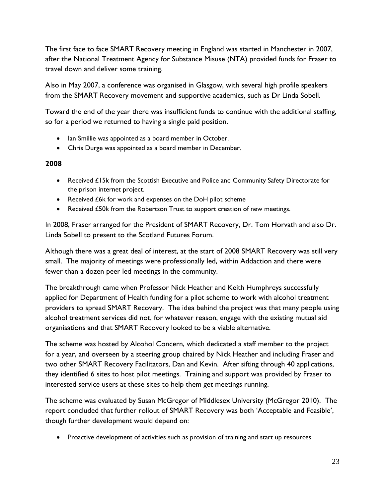The first face to face SMART Recovery meeting in England was started in Manchester in 2007, after the National Treatment Agency for Substance Misuse (NTA) provided funds for Fraser to travel down and deliver some training.

Also in May 2007, a conference was organised in Glasgow, with several high profile speakers from the SMART Recovery movement and supportive academics, such as Dr Linda Sobell.

Toward the end of the year there was insufficient funds to continue with the additional staffing, so for a period we returned to having a single paid position.

- Ian Smillie was appointed as a board member in October.
- Chris Durge was appointed as a board member in December.

#### **2008**

- Received £15k from the Scottish Executive and Police and Community Safety Directorate for the prison internet project.
- Received £6k for work and expenses on the DoH pilot scheme
- Received £50k from the Robertson Trust to support creation of new meetings.

In 2008, Fraser arranged for the President of SMART Recovery, Dr. Tom Horvath and also Dr. Linda Sobell to present to the Scotland Futures Forum.

Although there was a great deal of interest, at the start of 2008 SMART Recovery was still very small. The majority of meetings were professionally led, within Addaction and there were fewer than a dozen peer led meetings in the community.

The breakthrough came when Professor Nick Heather and Keith Humphreys successfully applied for Department of Health funding for a pilot scheme to work with alcohol treatment providers to spread SMART Recovery. The idea behind the project was that many people using alcohol treatment services did not, for whatever reason, engage with the existing mutual aid organisations and that SMART Recovery looked to be a viable alternative.

The scheme was hosted by Alcohol Concern, which dedicated a staff member to the project for a year, and overseen by a steering group chaired by Nick Heather and including Fraser and two other SMART Recovery Facilitators, Dan and Kevin. After sifting through 40 applications, they identified 6 sites to host pilot meetings. Training and support was provided by Fraser to interested service users at these sites to help them get meetings running.

The scheme was evaluated by Susan McGregor of Middlesex University (McGregor 2010). The report concluded that further rollout of SMART Recovery was both 'Acceptable and Feasible', though further development would depend on:

• Proactive development of activities such as provision of training and start up resources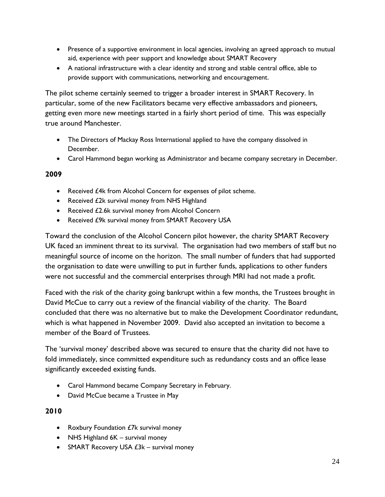- Presence of a supportive environment in local agencies, involving an agreed approach to mutual aid, experience with peer support and knowledge about SMART Recovery
- A national infrastructure with a clear identity and strong and stable central office, able to provide support with communications, networking and encouragement.

The pilot scheme certainly seemed to trigger a broader interest in SMART Recovery. In particular, some of the new Facilitators became very effective ambassadors and pioneers, getting even more new meetings started in a fairly short period of time. This was especially true around Manchester.

- The Directors of Mackay Ross International applied to have the company dissolved in December.
- Carol Hammond began working as Administrator and became company secretary in December.

#### **2009**

- Received £4k from Alcohol Concern for expenses of pilot scheme.
- Received £2k survival money from NHS Highland
- Received £2.6k survival money from Alcohol Concern
- Received £9k survival money from SMART Recovery USA

Toward the conclusion of the Alcohol Concern pilot however, the charity SMART Recovery UK faced an imminent threat to its survival. The organisation had two members of staff but no meaningful source of income on the horizon. The small number of funders that had supported the organisation to date were unwilling to put in further funds, applications to other funders were not successful and the commercial enterprises through MRI had not made a profit.

Faced with the risk of the charity going bankrupt within a few months, the Trustees brought in David McCue to carry out a review of the financial viability of the charity. The Board concluded that there was no alternative but to make the Development Coordinator redundant, which is what happened in November 2009. David also accepted an invitation to become a member of the Board of Trustees.

The 'survival money' described above was secured to ensure that the charity did not have to fold immediately, since committed expenditure such as redundancy costs and an office lease significantly exceeded existing funds.

- Carol Hammond became Company Secretary in February.
- David McCue became a Trustee in May

#### **2010**

- Roxbury Foundation £7k survival money
- NHS Highland 6K survival money
- SMART Recovery USA  $E3k$  survival money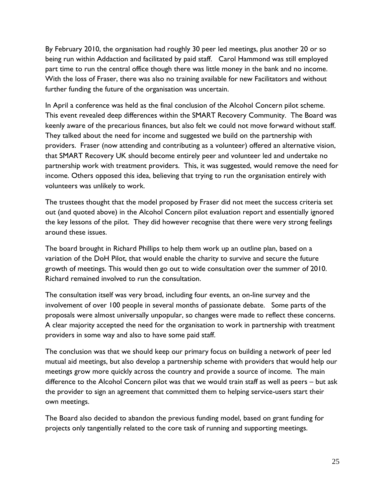By February 2010, the organisation had roughly 30 peer led meetings, plus another 20 or so being run within Addaction and facilitated by paid staff. Carol Hammond was still employed part time to run the central office though there was little money in the bank and no income. With the loss of Fraser, there was also no training available for new Facilitators and without further funding the future of the organisation was uncertain.

In April a conference was held as the final conclusion of the Alcohol Concern pilot scheme. This event revealed deep differences within the SMART Recovery Community. The Board was keenly aware of the precarious finances, but also felt we could not move forward without staff. They talked about the need for income and suggested we build on the partnership with providers. Fraser (now attending and contributing as a volunteer) offered an alternative vision, that SMART Recovery UK should become entirely peer and volunteer led and undertake no partnership work with treatment providers. This, it was suggested, would remove the need for income. Others opposed this idea, believing that trying to run the organisation entirely with volunteers was unlikely to work.

The trustees thought that the model proposed by Fraser did not meet the success criteria set out (and quoted above) in the Alcohol Concern pilot evaluation report and essentially ignored the key lessons of the pilot. They did however recognise that there were very strong feelings around these issues.

The board brought in Richard Phillips to help them work up an outline plan, based on a variation of the DoH Pilot, that would enable the charity to survive and secure the future growth of meetings. This would then go out to wide consultation over the summer of 2010. Richard remained involved to run the consultation.

The consultation itself was very broad, including four events, an on-line survey and the involvement of over 100 people in several months of passionate debate. Some parts of the proposals were almost universally unpopular, so changes were made to reflect these concerns. A clear majority accepted the need for the organisation to work in partnership with treatment providers in some way and also to have some paid staff.

The conclusion was that we should keep our primary focus on building a network of peer led mutual aid meetings, but also develop a partnership scheme with providers that would help our meetings grow more quickly across the country and provide a source of income. The main difference to the Alcohol Concern pilot was that we would train staff as well as peers – but ask the provider to sign an agreement that committed them to helping service-users start their own meetings.

The Board also decided to abandon the previous funding model, based on grant funding for projects only tangentially related to the core task of running and supporting meetings.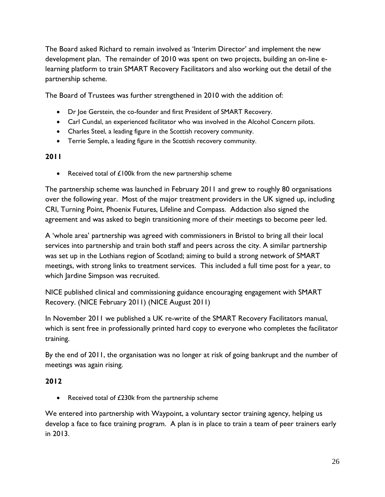The Board asked Richard to remain involved as 'Interim Director' and implement the new development plan. The remainder of 2010 was spent on two projects, building an on-line elearning platform to train SMART Recovery Facilitators and also working out the detail of the partnership scheme.

The Board of Trustees was further strengthened in 2010 with the addition of:

- Dr Joe Gerstein, the co-founder and first President of SMART Recovery.
- Carl Cundal, an experienced facilitator who was involved in the Alcohol Concern pilots.
- Charles Steel, a leading figure in the Scottish recovery community.
- Terrie Semple, a leading figure in the Scottish recovery community.

#### **2011**

• Received total of  $£100k$  from the new partnership scheme

The partnership scheme was launched in February 2011 and grew to roughly 80 organisations over the following year. Most of the major treatment providers in the UK signed up, including CRI, Turning Point, Phoenix Futures, Lifeline and Compass. Addaction also signed the agreement and was asked to begin transitioning more of their meetings to become peer led.

A 'whole area' partnership was agreed with commissioners in Bristol to bring all their local services into partnership and train both staff and peers across the city. A similar partnership was set up in the Lothians region of Scotland; aiming to build a strong network of SMART meetings, with strong links to treatment services. This included a full time post for a year, to which Jardine Simpson was recruited.

NICE published clinical and commissioning guidance encouraging engagement with SMART Recovery. (NICE February 2011) (NICE August 2011)

In November 2011 we published a UK re-write of the SMART Recovery Facilitators manual, which is sent free in professionally printed hard copy to everyone who completes the facilitator training.

By the end of 2011, the organisation was no longer at risk of going bankrupt and the number of meetings was again rising.

# **2012**

• Received total of £230k from the partnership scheme

We entered into partnership with Waypoint, a voluntary sector training agency, helping us develop a face to face training program. A plan is in place to train a team of peer trainers early in 2013.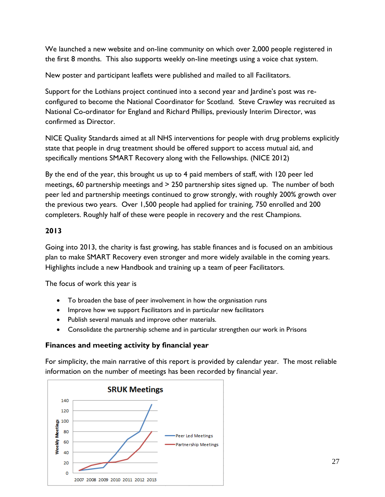We launched a new website and on-line community on which over 2,000 people registered in the first 8 months. This also supports weekly on-line meetings using a voice chat system.

New poster and participant leaflets were published and mailed to all Facilitators.

Support for the Lothians project continued into a second year and Jardine's post was reconfigured to become the National Coordinator for Scotland. Steve Crawley was recruited as National Co-ordinator for England and Richard Phillips, previously Interim Director, was confirmed as Director.

NICE Quality Standards aimed at all NHS interventions for people with drug problems explicitly state that people in drug treatment should be offered support to access mutual aid, and specifically mentions SMART Recovery along with the Fellowships. (NICE 2012)

By the end of the year, this brought us up to 4 paid members of staff, with 120 peer led meetings, 60 partnership meetings and > 250 partnership sites signed up. The number of both peer led and partnership meetings continued to grow strongly, with roughly 200% growth over the previous two years. Over 1,500 people had applied for training, 750 enrolled and 200 completers. Roughly half of these were people in recovery and the rest Champions.

# **2013**

Going into 2013, the charity is fast growing, has stable finances and is focused on an ambitious plan to make SMART Recovery even stronger and more widely available in the coming years. Highlights include a new Handbook and training up a team of peer Facilitators.

The focus of work this year is

- To broaden the base of peer involvement in how the organisation runs
- Improve how we support Facilitators and in particular new facilitators
- Publish several manuals and improve other materials.
- Consolidate the partnership scheme and in particular strengthen our work in Prisons

# **Finances and meeting activity by financial year**

For simplicity, the main narrative of this report is provided by calendar year. The most reliable information on the number of meetings has been recorded by financial year.

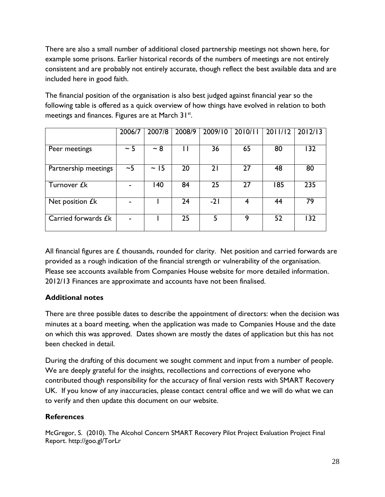There are also a small number of additional closed partnership meetings not shown here, for example some prisons. Earlier historical records of the numbers of meetings are not entirely consistent and are probably not entirely accurate, though reflect the best available data and are included here in good faith.

The financial position of the organisation is also best judged against financial year so the following table is offered as a quick overview of how things have evolved in relation to both meetings and finances. Figures are at March  $31^{st}$ .

|                        | 2006/7    | 2007/8    | 2008/9 | 2009/10 | 2010/11 | 2011/12 | 2012/13 |
|------------------------|-----------|-----------|--------|---------|---------|---------|---------|
|                        |           |           |        |         |         |         |         |
| Peer meetings          | $~\sim 5$ | $~1$ 8    | Н      | 36      | 65      | 80      | 132     |
|                        |           |           |        |         |         |         |         |
| Partnership meetings   | ~1        | $\sim$ 15 | 20     | 21      | 27      | 48      | 80      |
|                        |           |           |        |         |         |         |         |
| Turnover £k            |           | 140       | 84     | 25      | 27      | 185     | 235     |
|                        |           |           |        |         |         |         |         |
| Net position <i>£k</i> |           |           | 24     | $-21$   | 4       | 44      | 79      |
|                        |           |           |        |         |         |         |         |
| Carried forwards £k    |           |           | 25     | 5       | 9       | 52      | 132     |
|                        |           |           |        |         |         |         |         |

All financial figures are  $\pounds$  thousands, rounded for clarity. Net position and carried forwards are provided as a rough indication of the financial strength or vulnerability of the organisation. Please see accounts available from Companies House website for more detailed information. 2012/13 Finances are approximate and accounts have not been finalised.

# **Additional notes**

There are three possible dates to describe the appointment of directors: when the decision was minutes at a board meeting, when the application was made to Companies House and the date on which this was approved. Dates shown are mostly the dates of application but this has not been checked in detail.

During the drafting of this document we sought comment and input from a number of people. We are deeply grateful for the insights, recollections and corrections of everyone who contributed though responsibility for the accuracy of final version rests with SMART Recovery UK. If you know of any inaccuracies, please contact central office and we will do what we can to verify and then update this document on our website.

# **References**

McGregor, S. (2010). The Alcohol Concern SMART Recovery Pilot Project Evaluation Project Final Report. http://goo.gl/TorLr